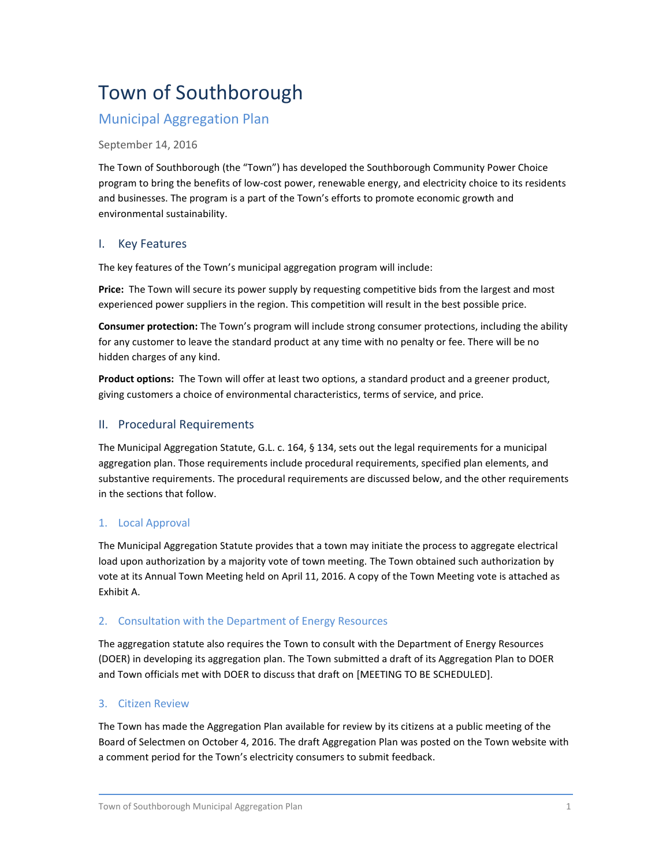# Town of Southborough

# Municipal Aggregation Plan

#### September 14, 2016

The Town of Southborough (the "Town") has developed the Southborough Community Power Choice program to bring the benefits of low-cost power, renewable energy, and electricity choice to its residents and businesses. The program is a part of the Town's efforts to promote economic growth and environmental sustainability.

### I. Key Features

The key features of the Town's municipal aggregation program will include:

**Price:** The Town will secure its power supply by requesting competitive bids from the largest and most experienced power suppliers in the region. This competition will result in the best possible price.

**Consumer protection:** The Town's program will include strong consumer protections, including the ability for any customer to leave the standard product at any time with no penalty or fee. There will be no hidden charges of any kind.

**Product options:** The Town will offer at least two options, a standard product and a greener product, giving customers a choice of environmental characteristics, terms of service, and price.

### II. Procedural Requirements

The Municipal Aggregation Statute, G.L. c. 164, § 134, sets out the legal requirements for a municipal aggregation plan. Those requirements include procedural requirements, specified plan elements, and substantive requirements. The procedural requirements are discussed below, and the other requirements in the sections that follow.

### 1. Local Approval

The Municipal Aggregation Statute provides that a town may initiate the process to aggregate electrical load upon authorization by a majority vote of town meeting. The Town obtained such authorization by vote at its Annual Town Meeting held on April 11, 2016. A copy of the Town Meeting vote is attached as Exhibit A.

### 2. Consultation with the Department of Energy Resources

The aggregation statute also requires the Town to consult with the Department of Energy Resources (DOER) in developing its aggregation plan. The Town submitted a draft of its Aggregation Plan to DOER and Town officials met with DOER to discuss that draft on [MEETING TO BE SCHEDULED].

### 3. Citizen Review

The Town has made the Aggregation Plan available for review by its citizens at a public meeting of the Board of Selectmen on October 4, 2016. The draft Aggregation Plan was posted on the Town website with a comment period for the Town's electricity consumers to submit feedback.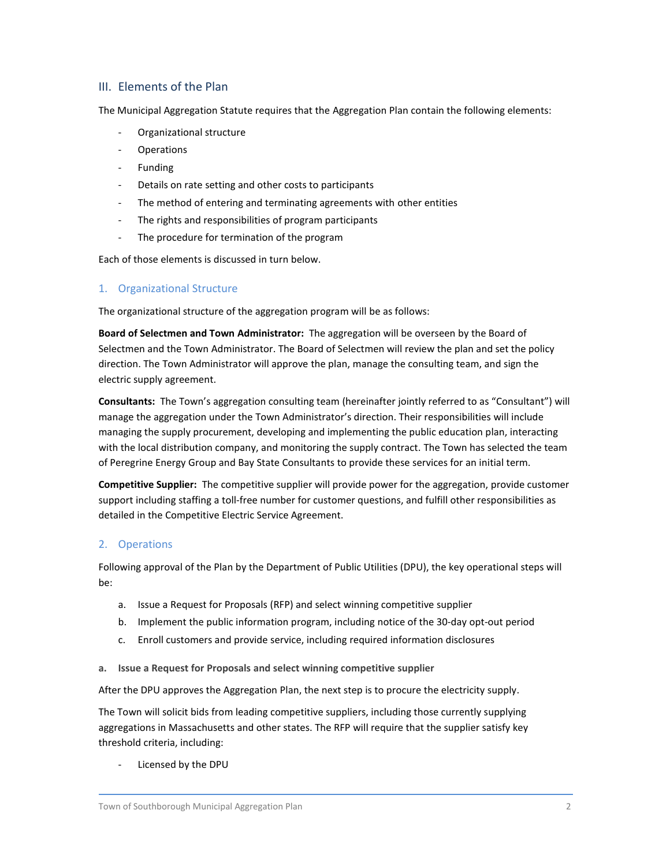### III. Elements of the Plan

The Municipal Aggregation Statute requires that the Aggregation Plan contain the following elements:

- Organizational structure
- **Operations**
- Funding
- Details on rate setting and other costs to participants
- The method of entering and terminating agreements with other entities
- The rights and responsibilities of program participants
- The procedure for termination of the program

Each of those elements is discussed in turn below.

### 1. Organizational Structure

The organizational structure of the aggregation program will be as follows:

**Board of Selectmen and Town Administrator:** The aggregation will be overseen by the Board of Selectmen and the Town Administrator. The Board of Selectmen will review the plan and set the policy direction. The Town Administrator will approve the plan, manage the consulting team, and sign the electric supply agreement.

**Consultants:** The Town's aggregation consulting team (hereinafter jointly referred to as "Consultant") will manage the aggregation under the Town Administrator's direction. Their responsibilities will include managing the supply procurement, developing and implementing the public education plan, interacting with the local distribution company, and monitoring the supply contract. The Town has selected the team of Peregrine Energy Group and Bay State Consultants to provide these services for an initial term.

**Competitive Supplier:** The competitive supplier will provide power for the aggregation, provide customer support including staffing a toll-free number for customer questions, and fulfill other responsibilities as detailed in the Competitive Electric Service Agreement.

### 2. Operations

Following approval of the Plan by the Department of Public Utilities (DPU), the key operational steps will be:

- a. Issue a Request for Proposals (RFP) and select winning competitive supplier
- b. Implement the public information program, including notice of the 30-day opt-out period
- c. Enroll customers and provide service, including required information disclosures
- **a. Issue a Request for Proposals and select winning competitive supplier**

After the DPU approves the Aggregation Plan, the next step is to procure the electricity supply.

The Town will solicit bids from leading competitive suppliers, including those currently supplying aggregations in Massachusetts and other states. The RFP will require that the supplier satisfy key threshold criteria, including:

Licensed by the DPU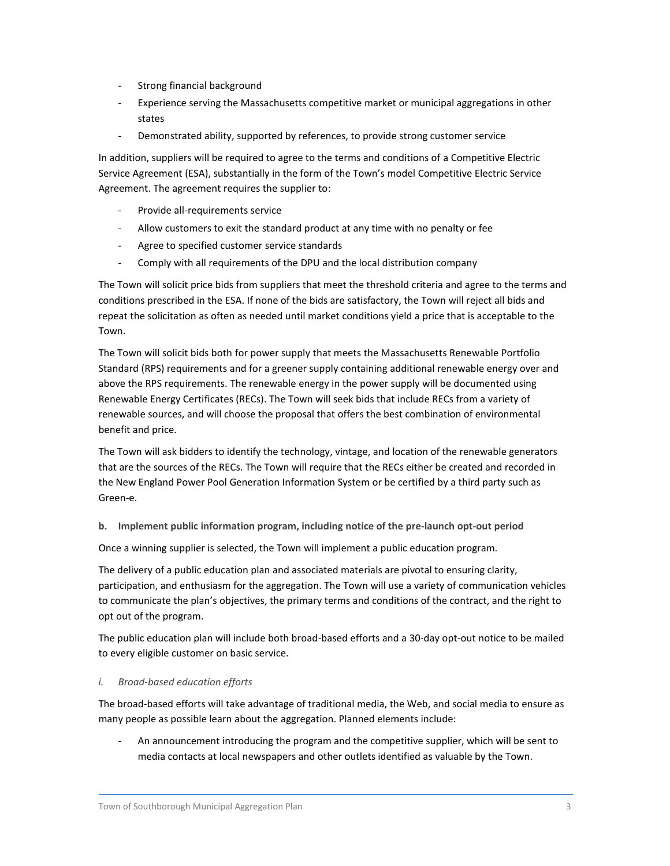- Strong financial background
- Experience serving the Massachusetts competitive market or municipal aggregations in other states
- Demonstrated ability, supported by references, to provide strong customer service

In addition, suppliers will be required to agree to the terms and conditions of a Competitive Electric Service Agreement (ESA), substantially in the form of the Town's model Competitive Electric Service Agreement. The agreement requires the supplier to:

- Provide all-requirements service
- Allow customers to exit the standard product at any time with no penalty or fee
- Agree to specified customer service standards
- Comply with all requirements of the DPU and the local distribution company

The Town will solicit price bids from suppliers that meet the threshold criteria and agree to the terms and conditions prescribed in the ESA. If none of the bids are satisfactory, the Town will reject all bids and repeat the solicitation as often as needed until market conditions yield a price that is acceptable to the Town.

The Town will solicit bids both for power supply that meets the Massachusetts Renewable Portfolio Standard (RPS) requirements and for a greener supply containing additional renewable energy over and above the RPS requirements. The renewable energy in the power supply will be documented using Renewable Energy Certificates (RECs). The Town will seek bids that include RECs from a variety of renewable sources, and will choose the proposal that offers the best combination of environmental benefit and price.

The Town will ask bidders to identify the technology, vintage, and location of the renewable generators that are the sources of the RECs. The Town will require that the RECs either be created and recorded in the New England Power Pool Generation Information System or be certified by a third party such as Green-e.

**b. Implement public information program, including notice of the pre-launch opt-out period**

Once a winning supplier is selected, the Town will implement a public education program.

The delivery of a public education plan and associated materials are pivotal to ensuring clarity, participation, and enthusiasm for the aggregation. The Town will use a variety of communication vehicles to communicate the plan's objectives, the primary terms and conditions of the contract, and the right to opt out of the program.

The public education plan will include both broad-based efforts and a 30-day opt-out notice to be mailed to every eligible customer on basic service.

#### *i. Broad-based education efforts*

The broad-based efforts will take advantage of traditional media, the Web, and social media to ensure as many people as possible learn about the aggregation. Planned elements include:

- An announcement introducing the program and the competitive supplier, which will be sent to media contacts at local newspapers and other outlets identified as valuable by the Town.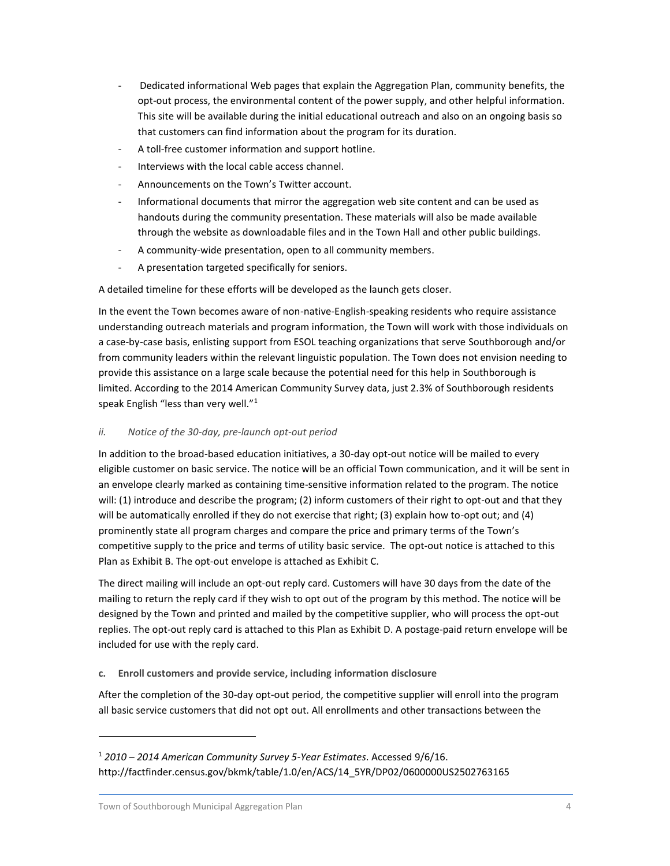- Dedicated informational Web pages that explain the Aggregation Plan, community benefits, the opt-out process, the environmental content of the power supply, and other helpful information. This site will be available during the initial educational outreach and also on an ongoing basis so that customers can find information about the program for its duration.
- A toll-free customer information and support hotline.
- Interviews with the local cable access channel.
- Announcements on the Town's Twitter account.
- Informational documents that mirror the aggregation web site content and can be used as handouts during the community presentation. These materials will also be made available through the website as downloadable files and in the Town Hall and other public buildings.
- A community-wide presentation, open to all community members.
- A presentation targeted specifically for seniors.

A detailed timeline for these efforts will be developed as the launch gets closer.

In the event the Town becomes aware of non-native-English-speaking residents who require assistance understanding outreach materials and program information, the Town will work with those individuals on a case-by-case basis, enlisting support from ESOL teaching organizations that serve Southborough and/or from community leaders within the relevant linguistic population. The Town does not envision needing to provide this assistance on a large scale because the potential need for this help in Southborough is limited. According to the 2014 American Community Survey data, just 2.3% of Southborough residents speak English "less than very well."<sup>1</sup>

#### *ii. Notice of the 30-day, pre-launch opt-out period*

In addition to the broad-based education initiatives, a 30-day opt-out notice will be mailed to every eligible customer on basic service. The notice will be an official Town communication, and it will be sent in an envelope clearly marked as containing time-sensitive information related to the program. The notice will: (1) introduce and describe the program; (2) inform customers of their right to opt-out and that they will be automatically enrolled if they do not exercise that right; (3) explain how to-opt out; and (4) prominently state all program charges and compare the price and primary terms of the Town's competitive supply to the price and terms of utility basic service. The opt-out notice is attached to this Plan as Exhibit B. The opt-out envelope is attached as Exhibit C.

The direct mailing will include an opt-out reply card. Customers will have 30 days from the date of the mailing to return the reply card if they wish to opt out of the program by this method. The notice will be designed by the Town and printed and mailed by the competitive supplier, who will process the opt-out replies. The opt-out reply card is attached to this Plan as Exhibit D. A postage-paid return envelope will be included for use with the reply card.

**c. Enroll customers and provide service, including information disclosure**

After the completion of the 30-day opt-out period, the competitive supplier will enroll into the program all basic service customers that did not opt out. All enrollments and other transactions between the

 $\overline{a}$ 

<sup>1</sup> *2010 – 2014 American Community Survey 5-Year Estimates*. Accessed 9/6/16. http://factfinder.census.gov/bkmk/table/1.0/en/ACS/14\_5YR/DP02/0600000US2502763165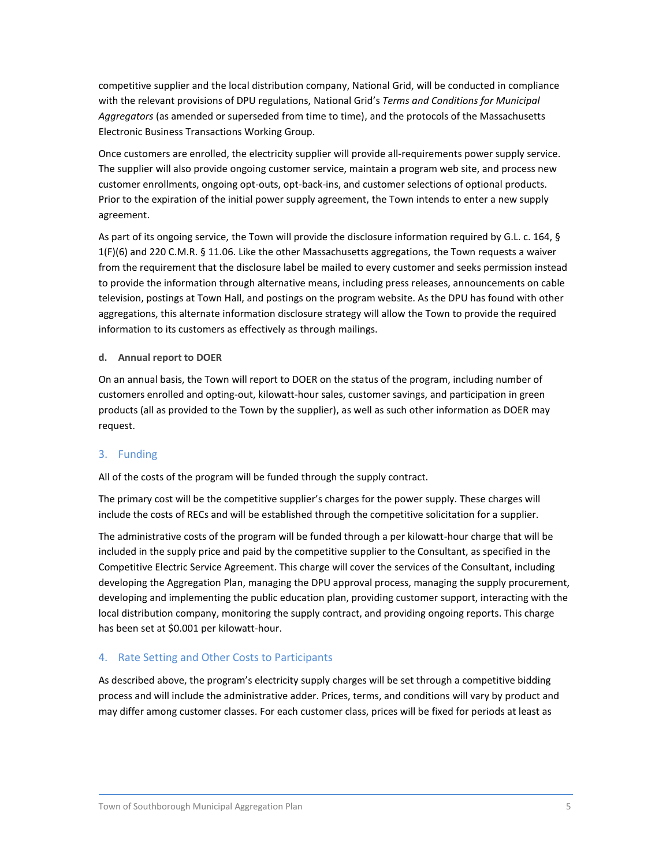competitive supplier and the local distribution company, National Grid, will be conducted in compliance with the relevant provisions of DPU regulations, National Grid's *Terms and Conditions for Municipal Aggregators* (as amended or superseded from time to time), and the protocols of the Massachusetts Electronic Business Transactions Working Group.

Once customers are enrolled, the electricity supplier will provide all-requirements power supply service. The supplier will also provide ongoing customer service, maintain a program web site, and process new customer enrollments, ongoing opt-outs, opt-back-ins, and customer selections of optional products. Prior to the expiration of the initial power supply agreement, the Town intends to enter a new supply agreement.

As part of its ongoing service, the Town will provide the disclosure information required by G.L. c. 164, § 1(F)(6) and 220 C.M.R. § 11.06. Like the other Massachusetts aggregations, the Town requests a waiver from the requirement that the disclosure label be mailed to every customer and seeks permission instead to provide the information through alternative means, including press releases, announcements on cable television, postings at Town Hall, and postings on the program website. As the DPU has found with other aggregations, this alternate information disclosure strategy will allow the Town to provide the required information to its customers as effectively as through mailings.

#### **d. Annual report to DOER**

On an annual basis, the Town will report to DOER on the status of the program, including number of customers enrolled and opting-out, kilowatt-hour sales, customer savings, and participation in green products (all as provided to the Town by the supplier), as well as such other information as DOER may request.

#### 3. Funding

All of the costs of the program will be funded through the supply contract.

The primary cost will be the competitive supplier's charges for the power supply. These charges will include the costs of RECs and will be established through the competitive solicitation for a supplier.

The administrative costs of the program will be funded through a per kilowatt-hour charge that will be included in the supply price and paid by the competitive supplier to the Consultant, as specified in the Competitive Electric Service Agreement. This charge will cover the services of the Consultant, including developing the Aggregation Plan, managing the DPU approval process, managing the supply procurement, developing and implementing the public education plan, providing customer support, interacting with the local distribution company, monitoring the supply contract, and providing ongoing reports. This charge has been set at \$0.001 per kilowatt-hour.

#### 4. Rate Setting and Other Costs to Participants

As described above, the program's electricity supply charges will be set through a competitive bidding process and will include the administrative adder. Prices, terms, and conditions will vary by product and may differ among customer classes. For each customer class, prices will be fixed for periods at least as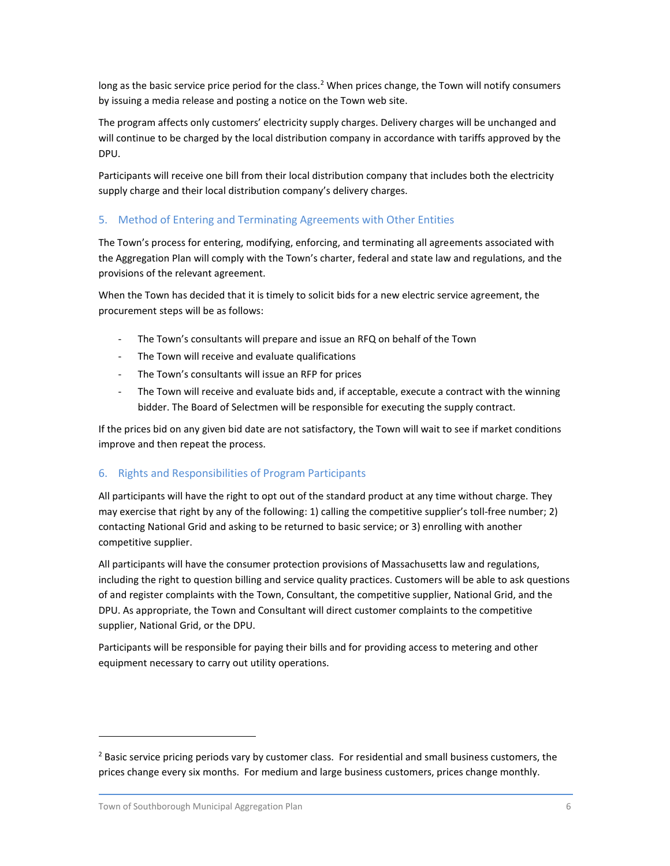long as the basic service price period for the class.<sup>2</sup> When prices change, the Town will notify consumers by issuing a media release and posting a notice on the Town web site.

The program affects only customers' electricity supply charges. Delivery charges will be unchanged and will continue to be charged by the local distribution company in accordance with tariffs approved by the DPU.

Participants will receive one bill from their local distribution company that includes both the electricity supply charge and their local distribution company's delivery charges.

### 5. Method of Entering and Terminating Agreements with Other Entities

The Town's process for entering, modifying, enforcing, and terminating all agreements associated with the Aggregation Plan will comply with the Town's charter, federal and state law and regulations, and the provisions of the relevant agreement.

When the Town has decided that it is timely to solicit bids for a new electric service agreement, the procurement steps will be as follows:

- The Town's consultants will prepare and issue an RFQ on behalf of the Town
- The Town will receive and evaluate qualifications
- The Town's consultants will issue an RFP for prices
- The Town will receive and evaluate bids and, if acceptable, execute a contract with the winning bidder. The Board of Selectmen will be responsible for executing the supply contract.

If the prices bid on any given bid date are not satisfactory, the Town will wait to see if market conditions improve and then repeat the process.

### 6. Rights and Responsibilities of Program Participants

All participants will have the right to opt out of the standard product at any time without charge. They may exercise that right by any of the following: 1) calling the competitive supplier's toll-free number; 2) contacting National Grid and asking to be returned to basic service; or 3) enrolling with another competitive supplier.

All participants will have the consumer protection provisions of Massachusetts law and regulations, including the right to question billing and service quality practices. Customers will be able to ask questions of and register complaints with the Town, Consultant, the competitive supplier, National Grid, and the DPU. As appropriate, the Town and Consultant will direct customer complaints to the competitive supplier, National Grid, or the DPU.

Participants will be responsible for paying their bills and for providing access to metering and other equipment necessary to carry out utility operations.

 $\overline{a}$ 

 $<sup>2</sup>$  Basic service pricing periods vary by customer class. For residential and small business customers, the</sup> prices change every six months. For medium and large business customers, prices change monthly.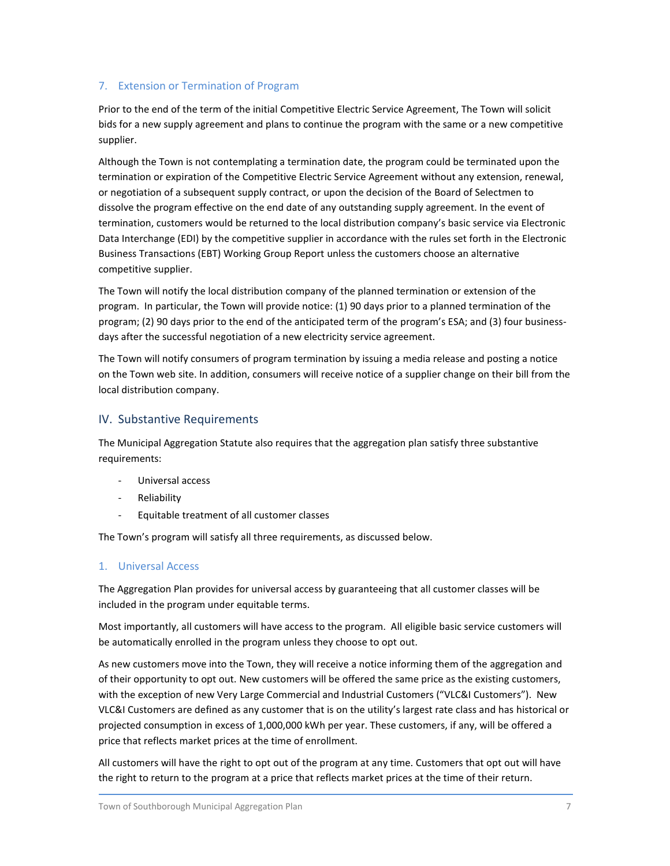### 7. Extension or Termination of Program

Prior to the end of the term of the initial Competitive Electric Service Agreement, The Town will solicit bids for a new supply agreement and plans to continue the program with the same or a new competitive supplier.

Although the Town is not contemplating a termination date, the program could be terminated upon the termination or expiration of the Competitive Electric Service Agreement without any extension, renewal, or negotiation of a subsequent supply contract, or upon the decision of the Board of Selectmen to dissolve the program effective on the end date of any outstanding supply agreement. In the event of termination, customers would be returned to the local distribution company's basic service via Electronic Data Interchange (EDI) by the competitive supplier in accordance with the rules set forth in the Electronic Business Transactions (EBT) Working Group Report unless the customers choose an alternative competitive supplier.

The Town will notify the local distribution company of the planned termination or extension of the program. In particular, the Town will provide notice: (1) 90 days prior to a planned termination of the program; (2) 90 days prior to the end of the anticipated term of the program's ESA; and (3) four businessdays after the successful negotiation of a new electricity service agreement.

The Town will notify consumers of program termination by issuing a media release and posting a notice on the Town web site. In addition, consumers will receive notice of a supplier change on their bill from the local distribution company.

### IV. Substantive Requirements

The Municipal Aggregation Statute also requires that the aggregation plan satisfy three substantive requirements:

- Universal access
- Reliability
- Equitable treatment of all customer classes

The Town's program will satisfy all three requirements, as discussed below.

### 1. Universal Access

The Aggregation Plan provides for universal access by guaranteeing that all customer classes will be included in the program under equitable terms.

Most importantly, all customers will have access to the program. All eligible basic service customers will be automatically enrolled in the program unless they choose to opt out.

As new customers move into the Town, they will receive a notice informing them of the aggregation and of their opportunity to opt out. New customers will be offered the same price as the existing customers, with the exception of new Very Large Commercial and Industrial Customers ("VLC&I Customers"). New VLC&I Customers are defined as any customer that is on the utility's largest rate class and has historical or projected consumption in excess of 1,000,000 kWh per year. These customers, if any, will be offered a price that reflects market prices at the time of enrollment.

All customers will have the right to opt out of the program at any time. Customers that opt out will have the right to return to the program at a price that reflects market prices at the time of their return.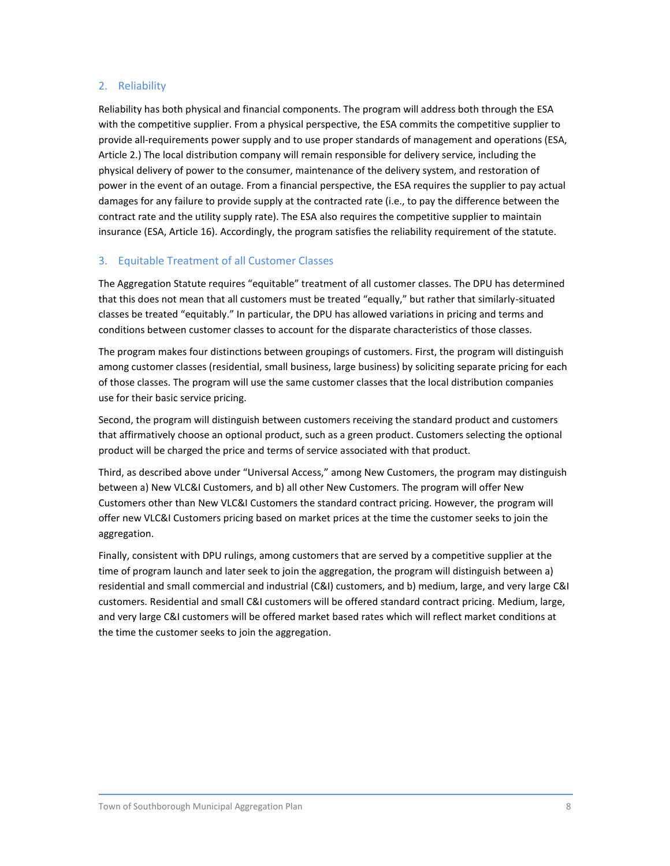#### 2. Reliability

Reliability has both physical and financial components. The program will address both through the ESA with the competitive supplier. From a physical perspective, the ESA commits the competitive supplier to provide all-requirements power supply and to use proper standards of management and operations (ESA, Article 2.) The local distribution company will remain responsible for delivery service, including the physical delivery of power to the consumer, maintenance of the delivery system, and restoration of power in the event of an outage. From a financial perspective, the ESA requires the supplier to pay actual damages for any failure to provide supply at the contracted rate (i.e., to pay the difference between the contract rate and the utility supply rate). The ESA also requires the competitive supplier to maintain insurance (ESA, Article 16). Accordingly, the program satisfies the reliability requirement of the statute.

### 3. Equitable Treatment of all Customer Classes

The Aggregation Statute requires "equitable" treatment of all customer classes. The DPU has determined that this does not mean that all customers must be treated "equally," but rather that similarly-situated classes be treated "equitably." In particular, the DPU has allowed variations in pricing and terms and conditions between customer classes to account for the disparate characteristics of those classes.

The program makes four distinctions between groupings of customers. First, the program will distinguish among customer classes (residential, small business, large business) by soliciting separate pricing for each of those classes. The program will use the same customer classes that the local distribution companies use for their basic service pricing.

Second, the program will distinguish between customers receiving the standard product and customers that affirmatively choose an optional product, such as a green product. Customers selecting the optional product will be charged the price and terms of service associated with that product.

Third, as described above under "Universal Access," among New Customers, the program may distinguish between a) New VLC&I Customers, and b) all other New Customers. The program will offer New Customers other than New VLC&I Customers the standard contract pricing. However, the program will offer new VLC&I Customers pricing based on market prices at the time the customer seeks to join the aggregation.

Finally, consistent with DPU rulings, among customers that are served by a competitive supplier at the time of program launch and later seek to join the aggregation, the program will distinguish between a) residential and small commercial and industrial (C&I) customers, and b) medium, large, and very large C&I customers. Residential and small C&I customers will be offered standard contract pricing. Medium, large, and very large C&I customers will be offered market based rates which will reflect market conditions at the time the customer seeks to join the aggregation.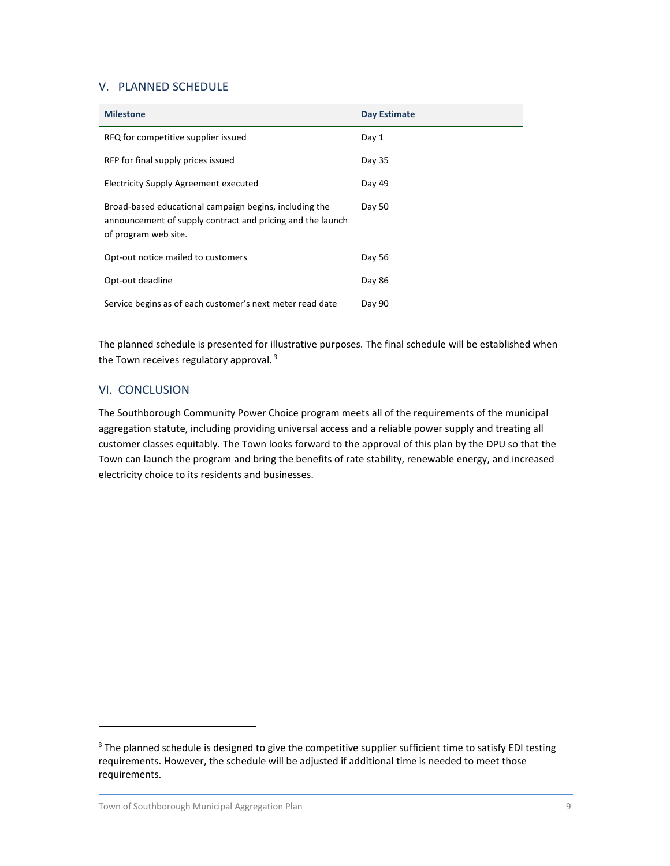### V. PLANNED SCHEDULE

| <b>Milestone</b>                                                                                                                             | Day Estimate |
|----------------------------------------------------------------------------------------------------------------------------------------------|--------------|
| RFQ for competitive supplier issued                                                                                                          | Day 1        |
| RFP for final supply prices issued                                                                                                           | Day 35       |
| <b>Electricity Supply Agreement executed</b>                                                                                                 | Day 49       |
| Broad-based educational campaign begins, including the<br>announcement of supply contract and pricing and the launch<br>of program web site. | Day 50       |
| Opt-out notice mailed to customers                                                                                                           | Day 56       |
| Opt-out deadline                                                                                                                             | Day 86       |
| Service begins as of each customer's next meter read date                                                                                    | Day 90       |

The planned schedule is presented for illustrative purposes. The final schedule will be established when the Town receives regulatory approval.<sup>3</sup>

### VI. CONCLUSION

 $\overline{a}$ 

The Southborough Community Power Choice program meets all of the requirements of the municipal aggregation statute, including providing universal access and a reliable power supply and treating all customer classes equitably. The Town looks forward to the approval of this plan by the DPU so that the Town can launch the program and bring the benefits of rate stability, renewable energy, and increased electricity choice to its residents and businesses.

 $3$  The planned schedule is designed to give the competitive supplier sufficient time to satisfy EDI testing requirements. However, the schedule will be adjusted if additional time is needed to meet those requirements.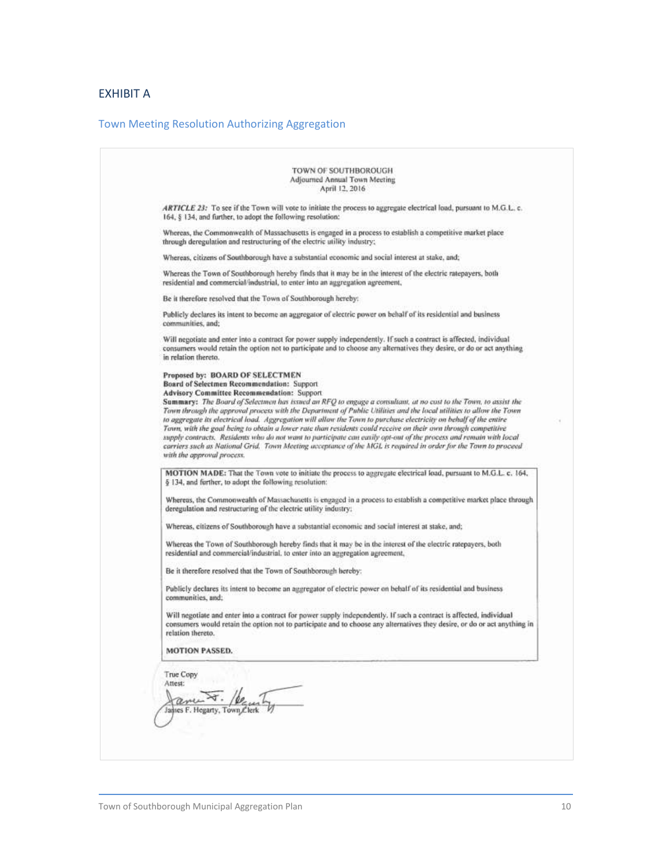# EXHIBIT A

# Town Meeting Resolution Authorizing Aggregation

| ARTICLE 23: To see if the Town will vote to initiate the process to aggregate electrical load, pursuant to M.G.L. c.<br>164, § 134, and further, to adopt the following resolution:<br>Whereas, the Commonwealth of Massachusetts is engaged in a process to establish a competitive market place<br>through deregulation and restructuring of the electric utility industry;<br>Whereas, citizens of Southborough have a substantial economic and social interest at stake, and;<br>Whereas the Town of Southborough hereby finds that it may be in the interest of the electric ratepayers, both<br>residential and commercial/industrial, to enter into an aggregation agreement,<br>Be it therefore resolved that the Town of Southborough hereby:<br>Publicly declares its intent to become an aggregator of electric power on behalf of its residential and business<br>communities, and;<br>Will negotiate and enter into a contract for power supply independently. If such a contract is affected, individual<br>consumers would retain the option not to participate and to choose any alternatives they desire, or do or act anything<br>in relation thereto.<br>Proposed by: BOARD OF SELECTMEN<br>Board of Selectmen Recommendation: Support<br><b>Advisory Committee Recommendation: Support</b><br>Summary: The Board of Selectmen has issued an RFQ to engage a consultant, at no cost to the Town, to assist the<br>Town through the approval process with the Department of Public Utilities and the local utilities to allow the Town<br>to aggregate its electrical load. Aggregation will allow the Town to purchase electricity on behalf of the entire<br>Town, with the goal being to obtain a lower rate than residents could receive on their own through competitive<br>supply contracts. Residents who do not want to participate can easily opt-out of the process and remain with local<br>carriers such as National Grid. Town Meeting acceptance of the MGL is required in order for the Town to proceed<br>with the approval process.<br>MOTION MADE: That the Town vote to initiate the process to aggregate electrical load, pursuant to M.G.L. c. 164,<br>§ 134, and further, to adopt the following resolution:<br>Whereas, the Commonwealth of Massachusetts is engaged in a process to establish a competitive market place through<br>deregulation and restructuring of the electric utility industry;<br>Whereas, citizens of Southborough have a substantial economic and social interest at stake, and;<br>Whereas the Town of Southborough hereby finds that it may be in the interest of the electric ratepayers, both<br>residential and commercial/industrial, to enter into an aggregation agreement,<br>Be it therefore resolved that the Town of Southborough hereby:<br>Publicly declares its intent to become an aggregator of electric power on behalf of its residential and business<br>communities, and;<br>Will negotiate and enter into a contract for power supply independently. If such a contract is affected, individual<br>consumers would retain the option not to participate and to choose any alternatives they desire, or do or act anything in<br>relation thereto.<br><b>MOTION PASSED.</b> | TOWN OF SOUTHBOROUGH<br>Adjourned Annual Town Meeting<br>April 12, 2016 |
|--------------------------------------------------------------------------------------------------------------------------------------------------------------------------------------------------------------------------------------------------------------------------------------------------------------------------------------------------------------------------------------------------------------------------------------------------------------------------------------------------------------------------------------------------------------------------------------------------------------------------------------------------------------------------------------------------------------------------------------------------------------------------------------------------------------------------------------------------------------------------------------------------------------------------------------------------------------------------------------------------------------------------------------------------------------------------------------------------------------------------------------------------------------------------------------------------------------------------------------------------------------------------------------------------------------------------------------------------------------------------------------------------------------------------------------------------------------------------------------------------------------------------------------------------------------------------------------------------------------------------------------------------------------------------------------------------------------------------------------------------------------------------------------------------------------------------------------------------------------------------------------------------------------------------------------------------------------------------------------------------------------------------------------------------------------------------------------------------------------------------------------------------------------------------------------------------------------------------------------------------------------------------------------------------------------------------------------------------------------------------------------------------------------------------------------------------------------------------------------------------------------------------------------------------------------------------------------------------------------------------------------------------------------------------------------------------------------------------------------------------------------------------------------------------------------------------------------------------------------------------------------------------------------------------------------------------------------------------------------------------------------------------------------------------------------------------------------------------------------------------------------------------------------------------------------------------------------------------------------------------------------------|-------------------------------------------------------------------------|
|                                                                                                                                                                                                                                                                                                                                                                                                                                                                                                                                                                                                                                                                                                                                                                                                                                                                                                                                                                                                                                                                                                                                                                                                                                                                                                                                                                                                                                                                                                                                                                                                                                                                                                                                                                                                                                                                                                                                                                                                                                                                                                                                                                                                                                                                                                                                                                                                                                                                                                                                                                                                                                                                                                                                                                                                                                                                                                                                                                                                                                                                                                                                                                                                                                                                    |                                                                         |
|                                                                                                                                                                                                                                                                                                                                                                                                                                                                                                                                                                                                                                                                                                                                                                                                                                                                                                                                                                                                                                                                                                                                                                                                                                                                                                                                                                                                                                                                                                                                                                                                                                                                                                                                                                                                                                                                                                                                                                                                                                                                                                                                                                                                                                                                                                                                                                                                                                                                                                                                                                                                                                                                                                                                                                                                                                                                                                                                                                                                                                                                                                                                                                                                                                                                    |                                                                         |
|                                                                                                                                                                                                                                                                                                                                                                                                                                                                                                                                                                                                                                                                                                                                                                                                                                                                                                                                                                                                                                                                                                                                                                                                                                                                                                                                                                                                                                                                                                                                                                                                                                                                                                                                                                                                                                                                                                                                                                                                                                                                                                                                                                                                                                                                                                                                                                                                                                                                                                                                                                                                                                                                                                                                                                                                                                                                                                                                                                                                                                                                                                                                                                                                                                                                    |                                                                         |
|                                                                                                                                                                                                                                                                                                                                                                                                                                                                                                                                                                                                                                                                                                                                                                                                                                                                                                                                                                                                                                                                                                                                                                                                                                                                                                                                                                                                                                                                                                                                                                                                                                                                                                                                                                                                                                                                                                                                                                                                                                                                                                                                                                                                                                                                                                                                                                                                                                                                                                                                                                                                                                                                                                                                                                                                                                                                                                                                                                                                                                                                                                                                                                                                                                                                    |                                                                         |
|                                                                                                                                                                                                                                                                                                                                                                                                                                                                                                                                                                                                                                                                                                                                                                                                                                                                                                                                                                                                                                                                                                                                                                                                                                                                                                                                                                                                                                                                                                                                                                                                                                                                                                                                                                                                                                                                                                                                                                                                                                                                                                                                                                                                                                                                                                                                                                                                                                                                                                                                                                                                                                                                                                                                                                                                                                                                                                                                                                                                                                                                                                                                                                                                                                                                    |                                                                         |
|                                                                                                                                                                                                                                                                                                                                                                                                                                                                                                                                                                                                                                                                                                                                                                                                                                                                                                                                                                                                                                                                                                                                                                                                                                                                                                                                                                                                                                                                                                                                                                                                                                                                                                                                                                                                                                                                                                                                                                                                                                                                                                                                                                                                                                                                                                                                                                                                                                                                                                                                                                                                                                                                                                                                                                                                                                                                                                                                                                                                                                                                                                                                                                                                                                                                    |                                                                         |
|                                                                                                                                                                                                                                                                                                                                                                                                                                                                                                                                                                                                                                                                                                                                                                                                                                                                                                                                                                                                                                                                                                                                                                                                                                                                                                                                                                                                                                                                                                                                                                                                                                                                                                                                                                                                                                                                                                                                                                                                                                                                                                                                                                                                                                                                                                                                                                                                                                                                                                                                                                                                                                                                                                                                                                                                                                                                                                                                                                                                                                                                                                                                                                                                                                                                    |                                                                         |
|                                                                                                                                                                                                                                                                                                                                                                                                                                                                                                                                                                                                                                                                                                                                                                                                                                                                                                                                                                                                                                                                                                                                                                                                                                                                                                                                                                                                                                                                                                                                                                                                                                                                                                                                                                                                                                                                                                                                                                                                                                                                                                                                                                                                                                                                                                                                                                                                                                                                                                                                                                                                                                                                                                                                                                                                                                                                                                                                                                                                                                                                                                                                                                                                                                                                    |                                                                         |
|                                                                                                                                                                                                                                                                                                                                                                                                                                                                                                                                                                                                                                                                                                                                                                                                                                                                                                                                                                                                                                                                                                                                                                                                                                                                                                                                                                                                                                                                                                                                                                                                                                                                                                                                                                                                                                                                                                                                                                                                                                                                                                                                                                                                                                                                                                                                                                                                                                                                                                                                                                                                                                                                                                                                                                                                                                                                                                                                                                                                                                                                                                                                                                                                                                                                    |                                                                         |
|                                                                                                                                                                                                                                                                                                                                                                                                                                                                                                                                                                                                                                                                                                                                                                                                                                                                                                                                                                                                                                                                                                                                                                                                                                                                                                                                                                                                                                                                                                                                                                                                                                                                                                                                                                                                                                                                                                                                                                                                                                                                                                                                                                                                                                                                                                                                                                                                                                                                                                                                                                                                                                                                                                                                                                                                                                                                                                                                                                                                                                                                                                                                                                                                                                                                    |                                                                         |
|                                                                                                                                                                                                                                                                                                                                                                                                                                                                                                                                                                                                                                                                                                                                                                                                                                                                                                                                                                                                                                                                                                                                                                                                                                                                                                                                                                                                                                                                                                                                                                                                                                                                                                                                                                                                                                                                                                                                                                                                                                                                                                                                                                                                                                                                                                                                                                                                                                                                                                                                                                                                                                                                                                                                                                                                                                                                                                                                                                                                                                                                                                                                                                                                                                                                    |                                                                         |
|                                                                                                                                                                                                                                                                                                                                                                                                                                                                                                                                                                                                                                                                                                                                                                                                                                                                                                                                                                                                                                                                                                                                                                                                                                                                                                                                                                                                                                                                                                                                                                                                                                                                                                                                                                                                                                                                                                                                                                                                                                                                                                                                                                                                                                                                                                                                                                                                                                                                                                                                                                                                                                                                                                                                                                                                                                                                                                                                                                                                                                                                                                                                                                                                                                                                    |                                                                         |
|                                                                                                                                                                                                                                                                                                                                                                                                                                                                                                                                                                                                                                                                                                                                                                                                                                                                                                                                                                                                                                                                                                                                                                                                                                                                                                                                                                                                                                                                                                                                                                                                                                                                                                                                                                                                                                                                                                                                                                                                                                                                                                                                                                                                                                                                                                                                                                                                                                                                                                                                                                                                                                                                                                                                                                                                                                                                                                                                                                                                                                                                                                                                                                                                                                                                    |                                                                         |
|                                                                                                                                                                                                                                                                                                                                                                                                                                                                                                                                                                                                                                                                                                                                                                                                                                                                                                                                                                                                                                                                                                                                                                                                                                                                                                                                                                                                                                                                                                                                                                                                                                                                                                                                                                                                                                                                                                                                                                                                                                                                                                                                                                                                                                                                                                                                                                                                                                                                                                                                                                                                                                                                                                                                                                                                                                                                                                                                                                                                                                                                                                                                                                                                                                                                    |                                                                         |
|                                                                                                                                                                                                                                                                                                                                                                                                                                                                                                                                                                                                                                                                                                                                                                                                                                                                                                                                                                                                                                                                                                                                                                                                                                                                                                                                                                                                                                                                                                                                                                                                                                                                                                                                                                                                                                                                                                                                                                                                                                                                                                                                                                                                                                                                                                                                                                                                                                                                                                                                                                                                                                                                                                                                                                                                                                                                                                                                                                                                                                                                                                                                                                                                                                                                    |                                                                         |
|                                                                                                                                                                                                                                                                                                                                                                                                                                                                                                                                                                                                                                                                                                                                                                                                                                                                                                                                                                                                                                                                                                                                                                                                                                                                                                                                                                                                                                                                                                                                                                                                                                                                                                                                                                                                                                                                                                                                                                                                                                                                                                                                                                                                                                                                                                                                                                                                                                                                                                                                                                                                                                                                                                                                                                                                                                                                                                                                                                                                                                                                                                                                                                                                                                                                    |                                                                         |
|                                                                                                                                                                                                                                                                                                                                                                                                                                                                                                                                                                                                                                                                                                                                                                                                                                                                                                                                                                                                                                                                                                                                                                                                                                                                                                                                                                                                                                                                                                                                                                                                                                                                                                                                                                                                                                                                                                                                                                                                                                                                                                                                                                                                                                                                                                                                                                                                                                                                                                                                                                                                                                                                                                                                                                                                                                                                                                                                                                                                                                                                                                                                                                                                                                                                    |                                                                         |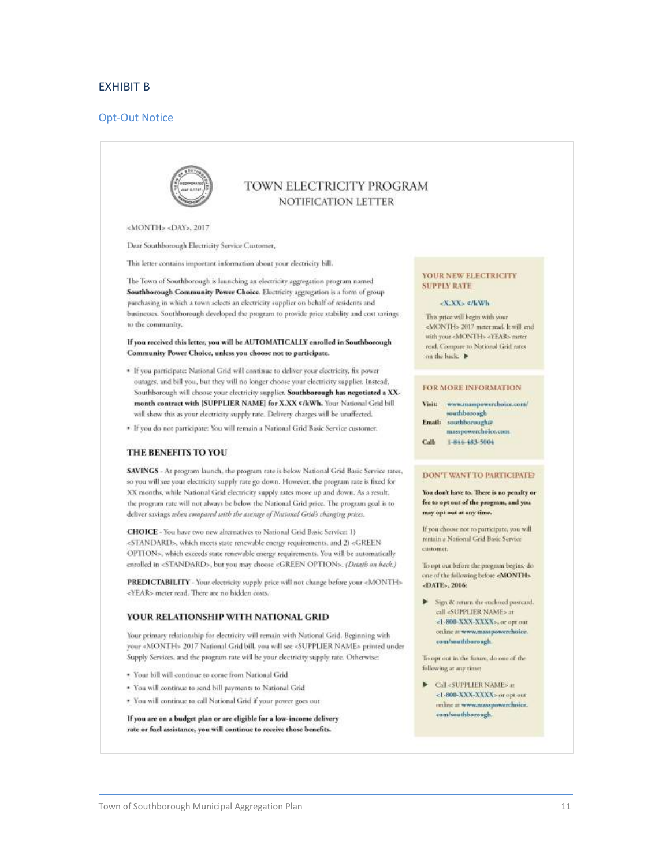#### EXHIBIT B

#### Opt-Out Notice



### TOWN ELECTRICITY PROGRAM NOTIFICATION LETTER

<MONTH> <DAY>, 2017

Dear Southborough Electricity Service Customer,

This letter contains important information about your electricity bill.

The Town of Southborough is launching an electricity aggregation program named Southborough Community Power Choice. Electricity aggregation is a form of group purchasing in which a town selects an electricity supplier on behalf of residents and businesses. Southborough developed the program to provide price stability and cost savings to the community.

#### If you received this letter, you will be AUTOMATICALLY enrolled in Southborough Community Power Choice, unless you choose not to participate.

- \* If you participate: National Grid will continue to deliver your electricity, fix power outages, and bill you, but they will no longer choose your electricity supplier. Instead, Southborough will choose your electricity supplier. Southborough has negotiated a XXmonth contract with [SUPPLIER NAME] for X.XX </kWh. Your National Grid bill will show this as your electricity supply rate. Delivery charges will be unaffected.
- · If you do not participate: You will remain a National Grid Basic Service customer.

#### THE BENEFITS TO YOU

SAVINGS - At program launch, the program rate is below National Grid Basic Service rates, so you will see your electricity supply rate go down. However, the program rate is fixed for XX months, while National Grid electricity supply rates move up and down. As a result, the program rate will not always be below the National Grid price. The program goal is to deliver savings when compared with the avenge of National Grid's changing prices.

CHOICE - You have two new alternatives to National Grid Basic Service: 1) <STANDARD>, which meets state renewable energy requirements, and 2) <GREEN OPTION», which exceeds state renewable energy requirements. You will be automatically entolled in <STANDARD>, but you may choose <GREEN OPTION>. (Details an back.)

PREDICTABILITY - Your electricity supply price will not change before your <MONTH> <YEAR> meter read. There are no hidden costs.

#### YOUR RELATIONSHIP WITH NATIONAL GRID

Your primary relationship for electricity will remain with National Grid. Beginning with your <MONTH> 2017 National Grid bill, you will see <SUPPLIER NAME> printed under Supply Services, and the program rate will be your electricity supply rate. Otherwise:

- . Your bill will continue to come from National Grid
- . You will continue to send bill payments to National Grid
- · You will continue to call National Grid if your power goes out

If you are on a budget plan or are eligible for a low-income delivery rate or fuel assistance, you will continue to receive those benefits.

#### YOUR NEW ELECTRICITY **SUPPLY RATE**

#### -X.XX> ¢/kWh

This price will begin with your <MONTH> 2017 meter read. It will end with your <MONTH> <YEAR> nuter read. Compare to National Grid rates on the back.

#### FOR MORE INFORMATION

Visit: www.mampowerchoice.com/ southborough Email: southborough@ masspowerchoice.com Call: 1-844-483-5004

#### **DON'T WANT TO PARTICIPATE:**

You don't have to. There is no penalty or fee to opt out of the program, and you may opt out at any time.

If you choose not to participate, you will rentain a National Grid Basic Service customer.

To opt out before the program begins, do one of the following before «MONTH» «DATE», 2016:

> Sign & return the enclosed postcard. call «SUPPLIER NAME» at <1-800-XXX-XXXX>, or opt our online at www.masspowerchoice. com/southborough.

To opt out in the future, do one of the following at any time:

Call <SUPPLIER NAME> at <1-800-XXX-XXXX> or opt our coline at www.masspowerchoice. com/southborough.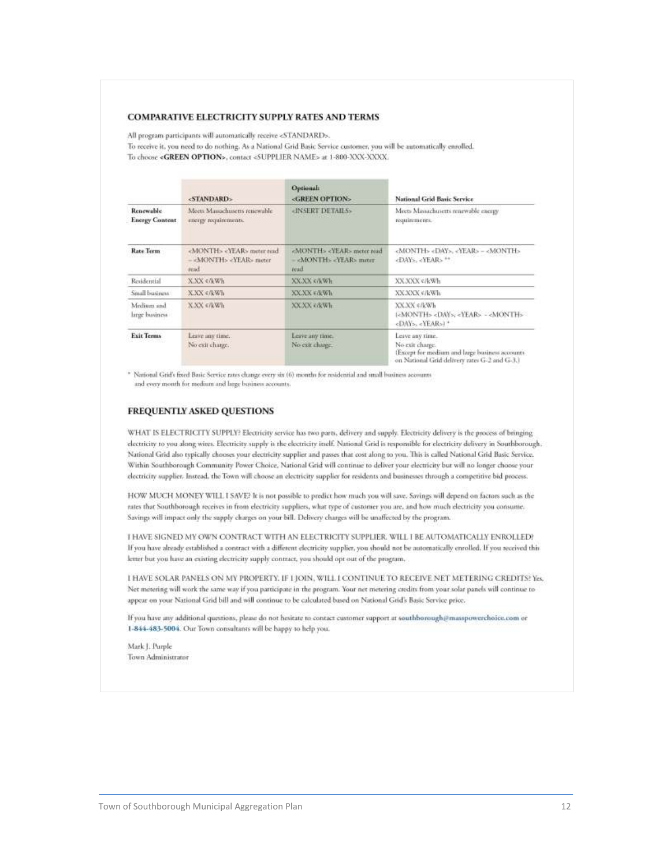#### **COMPARATIVE ELECTRICITY SUPPLY RATES AND TERMS**

All program participants will automatically receive <STANDARD>.

To receive it, you need to do nothing. As a National Grid Basic Service customer, you will be automatically enrolled. To choose <GREEN OPTION>, contact <SUPPLIER NAME> at 1-800-XXX-XXXX.

|                                           | The company's production of<br><standard></standard>                                        | Optional:<br><green option=""></green>                                                      | National Grid Basic Service                                                                                                           |
|-------------------------------------------|---------------------------------------------------------------------------------------------|---------------------------------------------------------------------------------------------|---------------------------------------------------------------------------------------------------------------------------------------|
| <b>Renewable</b><br><b>Energy Content</b> | Meets Massachusetts retiewable<br>energy requirements.                                      | «INSERT DETAILS»                                                                            | Meets Massachusetts renewable energy<br>requirements.                                                                                 |
| <b>Rate Terms</b>                         | <month> <year> meter read<br/>- <month> <year> meter<br/>read</year></month></year></month> | <month> <year> meter read<br/>- <month> <year> meter<br/>read</year></month></year></month> | <month> <day>, <year> - <month><br/><day>, <year> **</year></day></month></year></day></month>                                        |
| Residential                               | XXX c/kWh                                                                                   | XXXX <td>XXXXX </td>                                                                        | XXXXX                                                                                                                                 |
| Small business                            | XXX <td>XX.XX ClkWh</td> <td>XXXXX ¢/kWh</td>                                               | XX.XX ClkWh                                                                                 | XXXXX ¢/kWh                                                                                                                           |
| Medium and<br>large business              | XXX G/kWh                                                                                   | XXXX GKWh                                                                                   | XX.XX ( <month> <day>, <year> - <month><br/><day>, <year>) *</year></day></month></year></day></month>                                |
| <b>Exit Terms</b>                         | Leave any time.<br>No exit charge.                                                          | Leave any time.<br>No exit charge.                                                          | Leave any time.<br>No exit charge.<br>Except for medium and large business accounts<br>on National Grid delivery rates G.2 and G.3.1. |

\* National Grid's fixed Basic Service rates change every six (6) months for residential and small business accounts and every month for medium and large business accounts.

#### FREQUENTLY ASKED QUESTIONS

WHAT IS ELECTRICITY SUPPLY? Electricity service has two parts, delivery and supply. Electricity delivery is the process of bringing electricity to you along wires. Electricity supply is the electricity itself. National Grid is responsible for electricity delivery in Southborough. National Grid also typically chooses your electricity supplier and passes that cost along to you. This is called National Grid Basic Service. Within Southborough Community Power Choice, National Grid will continue to deliver your electricity but will no longer choose your electricity supplier. Instead, the Town will choose an electricity supplier for residents and businesses through a competitive bid process.

HOW MUCH MONEY WILL I SAVE? It is not possible to predict how much you will save. Savings will depend on factors such as the rates that Southhorough receives in from electricity suppliers, what type of customer you are, and how much electricity you consume. Savings will impact only the supply charges on your bill. Delivery charges will be unaffected by the program.

I HAVE SIGNED MY OWN CONTRACT WITH AN ELECTRICITY SUPPLIER. WILL I BE AUTOMATICALLY ENROLLED? If you have already established a contract with a different electricity supplier, you should not be automatically enrolled. If you received this letter but you have an existing electricity supply contract, you should opt out of the program.

I HAVE SOLAR PANELS ON MY PROPERTY. IF I JOIN, WILL I CONTINUE TO RECEIVE NET METERING CREDITS? Yes. Net metering will work the same way if you participate in the program. Your net metering credits from your solar panels will continue to appear on your National Grid bill and will continue to be calculated based on National Grid's Basic Service price.

If you have any additional questions, please do not hesitate to contact customer support at southborough@masspowerchoice.com or 1-844-483-5004. Our Town consultants will be happy to help you.

Mark J. Purple Town Administrator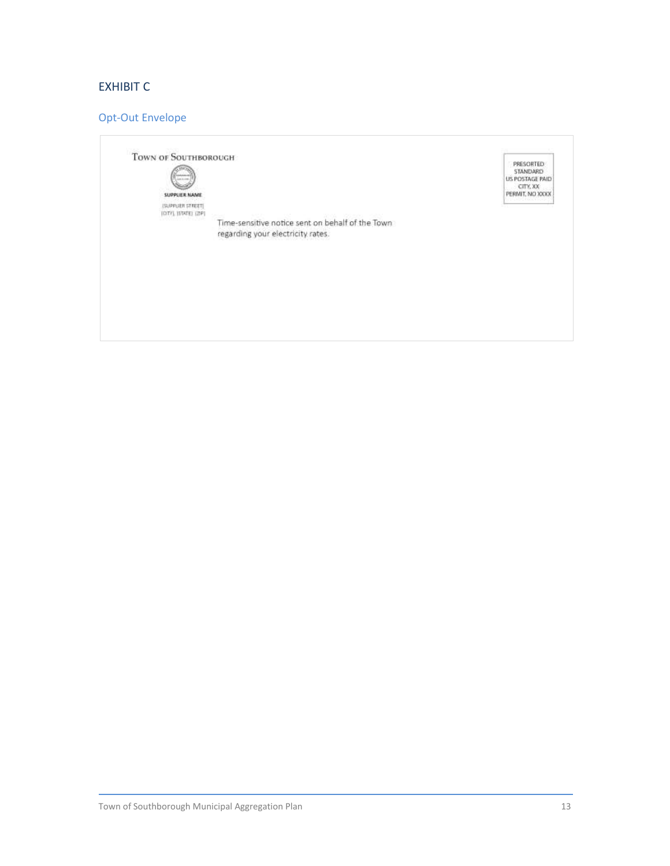# EXHIBIT C

# Opt-Out Envelope